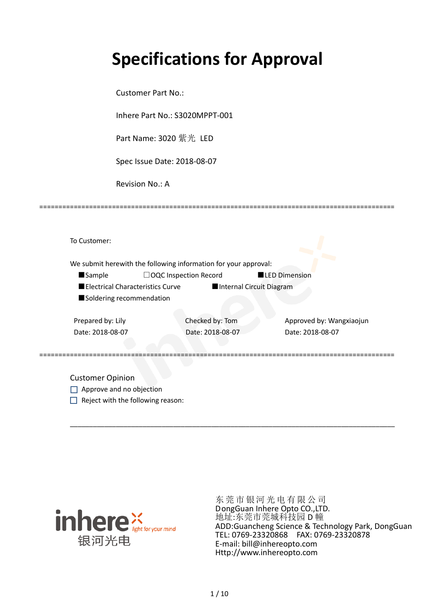# **Specifications for Approval**

Customer Part No.:

Inhere Part No.: S3020MPPT-001

Part Name: 3020 紫光 LED

Spec Issue Date: 2018-08-07

Revision No.: A

|                   |                                  | We submit herewith the following information for your approval: |                          |                          |
|-------------------|----------------------------------|-----------------------------------------------------------------|--------------------------|--------------------------|
| <b>Sample</b>     |                                  | $\Box$ OQC Inspection Record                                    | <b>LED Dimension</b>     |                          |
|                   | Electrical Characteristics Curve |                                                                 | Internal Circuit Diagram |                          |
|                   | Soldering recommendation         |                                                                 |                          |                          |
|                   |                                  |                                                                 |                          |                          |
| Prepared by: Lily |                                  | Checked by: Tom                                                 |                          | Approved by: Wangxiaojun |
| Date: 2018-08-07  |                                  | Date: 2018-08-07                                                |                          | Date: 2018-08-07         |
|                   |                                  |                                                                 |                          |                          |

\_\_\_\_\_\_\_\_\_\_\_\_\_\_\_\_\_\_\_\_\_\_\_\_\_\_\_\_\_\_\_\_\_\_\_\_\_\_\_\_\_\_\_\_\_\_\_\_\_\_\_\_\_\_\_\_\_\_\_\_\_\_\_\_\_\_\_\_\_\_\_\_\_\_\_\_\_\_\_\_\_\_\_\_\_

=============================================================================================

Approve and no objection  $\Box$  Reject with the following reason:



东莞市银河光电有限公司 DongGuan Inhere Opto CO.,LTD. 地址:东莞市莞城科技园 D 幢 ADD:Guancheng Science & Technology Park, DongGuan TEL: 0769-23320868 FAX: 0769-23320878 E-mail: bill@inhereopto.com [Http://www.inhereopto.com](http://www.inhereopto.com/)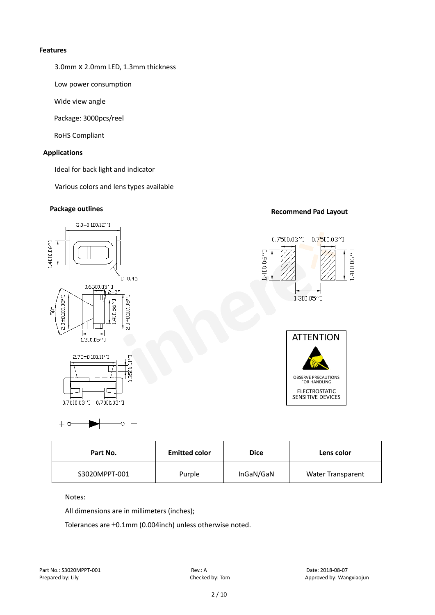#### **Features**

3.0mmⅹ2.0mm LED, 1.3mm thickness

Low power consumption

Wide view angle

Package: 3000pcs/reel

RoHS Compliant

#### **Applications**

Ideal for back light and indicator

Various colors and lens types available

# **Package outlines Recommend Pad Layout**



| <b>Emitted color</b><br>Part No. |        | <b>Dice</b> | Lens color               |  |
|----------------------------------|--------|-------------|--------------------------|--|
| S3020MPPT-001                    | Purple | InGaN/GaN   | <b>Water Transparent</b> |  |

Notes:

 $+ \circ$ 

All dimensions are in millimeters (inches);

Ŏ

Tolerances are ±0.1mm (0.004inch) unless otherwise noted.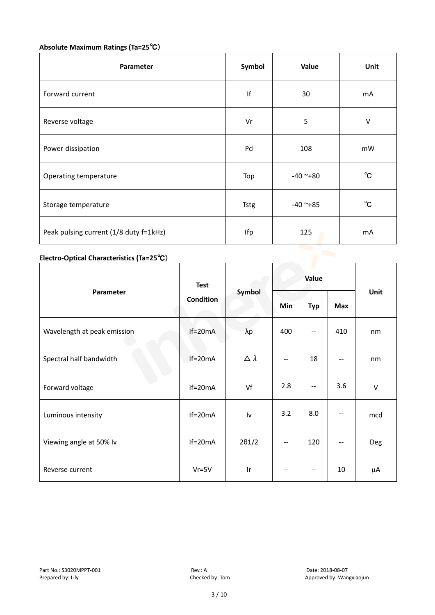## **Absolute Maximum Ratings (Ta=25**℃)

| Parameter                              | Symbol      | Value      | Unit         |
|----------------------------------------|-------------|------------|--------------|
| Forward current                        | f           | 30         | mA           |
| Reverse voltage                        | Vr          | 5          | $\sf V$      |
| Power dissipation                      | Pd          | 108        | mW           |
| Operating temperature                  | Top         | $-40$ ~+80 | $^{\circ}$ C |
| Storage temperature                    | <b>Tstg</b> | $-40$ ~+85 | $^{\circ}$ C |
| Peak pulsing current (1/8 duty f=1kHz) | Ifp         | 125        | mA           |

# **Electro-Optical Characteristics (Ta=25**℃)

|                             | <b>Test</b>      | Symbol              | Value                    |            |                          |        |
|-----------------------------|------------------|---------------------|--------------------------|------------|--------------------------|--------|
| Parameter                   | <b>Condition</b> |                     | Min                      | <b>Typ</b> | Max                      | Unit   |
| Wavelength at peak emission | $If=20mA$        | $\lambda p$         | 400                      | --         | 410                      | nm     |
| Spectral half bandwidth     | $If=20mA$        | $\triangle \lambda$ | --                       | 18         | $- -$                    | nm     |
| Forward voltage             | $If=20mA$        | Vf                  | 2.8                      | --         | 3.6                      | $\vee$ |
| Luminous intensity          | $If=20mA$        | Iv                  | 3.2                      | 8.0        | $\overline{\phantom{a}}$ | mcd    |
| Viewing angle at 50% lv     | $If=20mA$        | $2\theta$ 1/2       | $\overline{\phantom{a}}$ | 120        | $\qquad \qquad -$        | Deg    |
| Reverse current             | $Vr = 5V$        | Ir                  | --                       | --         | 10                       | μA     |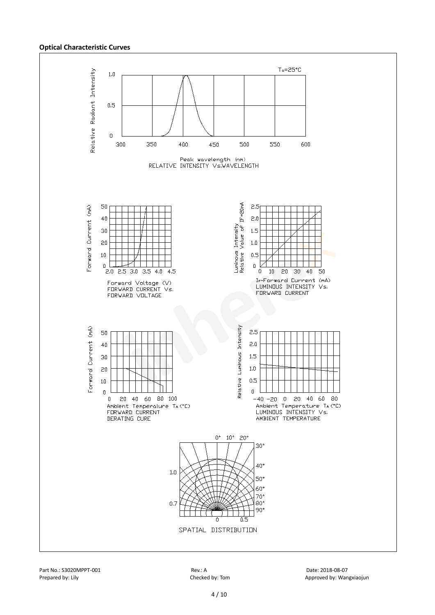#### **Optical Characteristic Curves**



Part No.: S3020MPPT-001 Rev.: A Date: 2018-08-07

Prepared by: Lily Checked by: Tom Approved by: Wangxiaojun Checked by: Tom Approved by: Wangxiaojun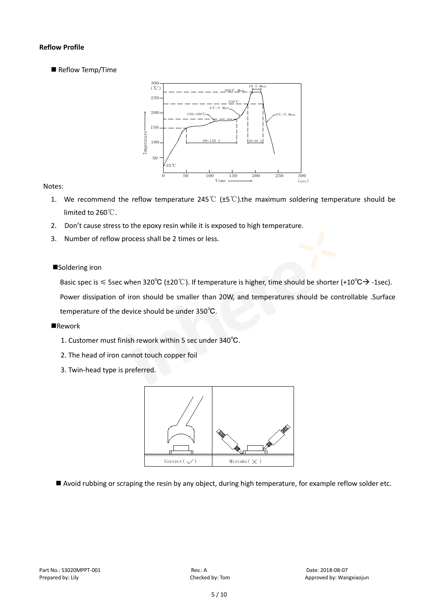#### **Reflow Profile**

Reflow Temp/Time



#### Notes:

- 1. We recommend the reflow temperature 245°C ( $\pm$ 5°C).the maximum soldering temperature should be limited to 260℃.
- 2. Don't cause stress to the epoxy resin while it is exposed to high temperature.
- 3. Number of reflow process shall be 2 times or less.

#### ■Soldering iron

Basic spec is  $\leq$  5sec when 320°C (±20°C). If temperature is higher, time should be shorter (+10°C $\rightarrow$ -1sec).

Power dissipation of iron should be smaller than 20W, and temperatures should be controllable .Surface temperature of the device should be under 350℃.

#### **Rework**

- 1. Customer must finish rework within 5 sec under 340℃.
- 2. The head of iron cannot touch copper foil
- 3. Twin-head type is preferred.



Avoid rubbing or scraping the resin by any object, during high temperature, for example reflow solder etc.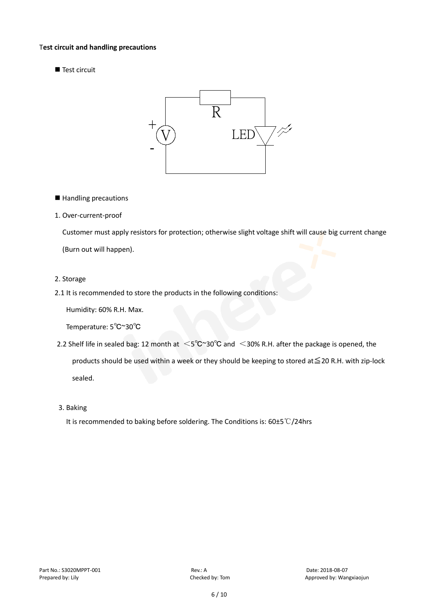#### T**est circuit and handling precautions**

Test circuit



- Handling precautions
- 1. Over-current-proof

Customer must apply resistors for protection; otherwise slight voltage shift will cause big current change

(Burn out will happen).

- 2. Storage
- 2.1 It is recommended to store the products in the following conditions:

Humidity: 60% R.H. Max.

Temperature: 5℃~30℃

- 2.2 Shelf life in sealed bag: 12 month at <5℃~30°C and <30% R.H. after the package is opened, the products should be used within a week or they should be keeping to stored at≦20 R.H. with zip-lock sealed.
- 3. Baking

It is recommended to baking before soldering. The Conditions is: 60±5℃/24hrs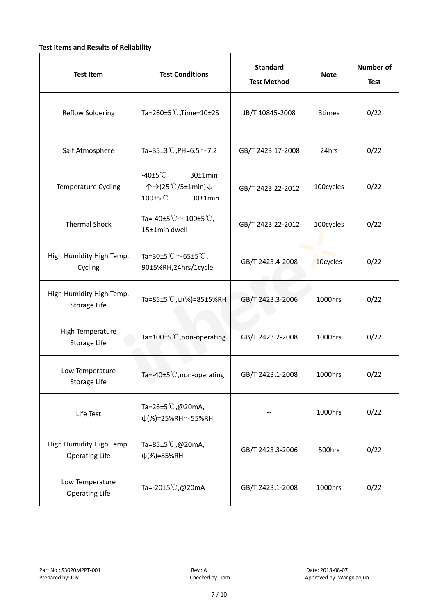#### **Test Items and Results of Reliability**

| <b>Test Item</b>                                  | <b>Standard</b><br><b>Test Conditions</b><br><b>Test Method</b>                                     |                   | <b>Note</b> | <b>Number of</b><br><b>Test</b> |
|---------------------------------------------------|-----------------------------------------------------------------------------------------------------|-------------------|-------------|---------------------------------|
| <b>Reflow Soldering</b>                           | Ta=260 $\pm$ 5 °C, Time=10 $\pm$ 2S                                                                 | JB/T 10845-2008   | 3times      | 0/22                            |
| Salt Atmosphere                                   | Ta=35±3°C, PH=6.5 $\sim$ 7.2                                                                        | GB/T 2423.17-2008 | 24hrs       | 0/22                            |
| Temperature Cycling                               | -40 $±5^{\circ}$ C<br>$30±1$ min<br>个→(25℃/5±1min)↓<br>100±5°C<br>$30±1$ min                        | GB/T 2423.22-2012 | 100cycles   | 0/22                            |
| <b>Thermal Shock</b>                              | Ta=-40±5 $\degree \text{C}$ $\sim$ 100±5 $\degree \text{C}$ ,<br>GB/T 2423.22-2012<br>15±1min dwell |                   | 100cycles   | 0/22                            |
| High Humidity High Temp.<br>Cycling               | Ta=30±5 °C $\sim$ 65±5 °C,<br>90±5%RH,24hrs/1cycle                                                  | GB/T 2423.4-2008  | 10cycles    | 0/22                            |
| High Humidity High Temp.<br>Storage Life          | Ta=85±5 °C, $\psi$ (%)=85±5%RH                                                                      | GB/T 2423.3-2006  | 1000hrs     | 0/22                            |
| High Temperature<br><b>Storage Life</b>           | Ta=100±5°C, non-operating                                                                           | GB/T 2423.2-2008  | 1000hrs     | 0/22                            |
| Low Temperature<br>Storage Life                   | Ta=-40±5℃, non-operating                                                                            | GB/T 2423.1-2008  | 1000hrs     | 0/22                            |
| Life Test                                         | Ta=26±5℃,@20mA,<br>$\psi$ (%)=25%RH~55%RH                                                           |                   | 1000hrs     | 0/22                            |
| High Humidity High Temp.<br><b>Operating Life</b> | Ta=85±5 $\degree$ C, @20mA,<br>$\psi$ (%)=85%RH                                                     | GB/T 2423.3-2006  | 500hrs      | 0/22                            |
| Low Temperature<br><b>Operating Life</b>          | Ta=-20±5℃,@20mA                                                                                     | GB/T 2423.1-2008  | 1000hrs     | 0/22                            |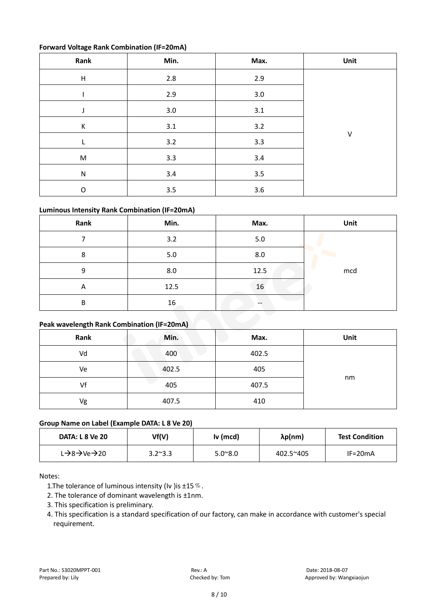#### **Forward Voltage Rank Combination (IF=20mA)**

| Rank        | Min.    | Max.    | Unit |
|-------------|---------|---------|------|
| $\mathsf H$ | 2.8     | 2.9     |      |
|             | 2.9     | $3.0\,$ |      |
|             | 3.0     | 3.1     |      |
| К           | $3.1\,$ | 3.2     |      |
| L           | 3.2     | 3.3     | V    |
| ${\sf M}$   | 3.3     | 3.4     |      |
| ${\sf N}$   | 3.4     | 3.5     |      |
| $\mathsf O$ | $3.5\,$ | 3.6     |      |

#### **Luminous Intensity Rank Combination (IF=20mA)**

| Rank                                              | Min. | Max. | Unit |
|---------------------------------------------------|------|------|------|
|                                                   | 3.2  | 5.0  |      |
| 8                                                 | 5.0  | 8.0  |      |
| 9                                                 | 8.0  | 12.5 | mcd  |
| Α                                                 | 12.5 | 16   |      |
| B                                                 | 16   | --   |      |
| <b>Dook wavelength Pank Combination (IE-20mA)</b> |      |      |      |

### **Peak wavelength Rank Combination (IF=20mA)**

| Rank | Min.  | Max.  | Unit |
|------|-------|-------|------|
| Vd   | 400   | 402.5 |      |
| Ve   | 402.5 | 405   |      |
| Vf   | 405   | 407.5 | nm   |
| Vg   | 407.5 | 410   |      |

#### **Group Name on Label (Example DATA: L 8 Ve 20)**

| <b>DATA: L 8 Ve 20</b>                              | Vf(V)           | Iv (mcd)         | λp(nm)    | <b>Test Condition</b> |
|-----------------------------------------------------|-----------------|------------------|-----------|-----------------------|
| L $\rightarrow$ 8 $\rightarrow$ Ve $\rightarrow$ 20 | $3.2^{\sim}3.3$ | $5.0^{\circ}8.0$ | 402.5~405 | $IF=20mA$             |

Notes:

1. The tolerance of luminous intensity (Iv ) is  $\pm$ 15  $\%$ .

2. The tolerance of dominant wavelength is ±1nm.

- 3. This specification is preliminary.
- 4. This specification is a standard specification of our factory, can make in accordance with customer's special requirement.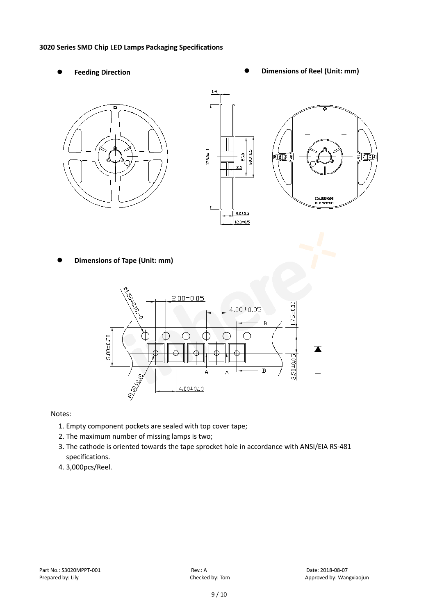#### **3020 Series SMD Chip LED Lamps Packaging Specifications**

- 
- Feeding Direction **Constanting Construction Constanting Operations Construction Constanting Construction Constanting Construction**





**Dimensions of Tape (Unit: mm)**



Notes:

- 1. Empty component pockets are sealed with top cover tape;
- 2. The maximum number of missing lamps is two;
- 3. The cathode is oriented towards the tape sprocket hole in accordance with ANSI/EIA RS-481 specifications.
- 4. 3,000pcs/Reel.